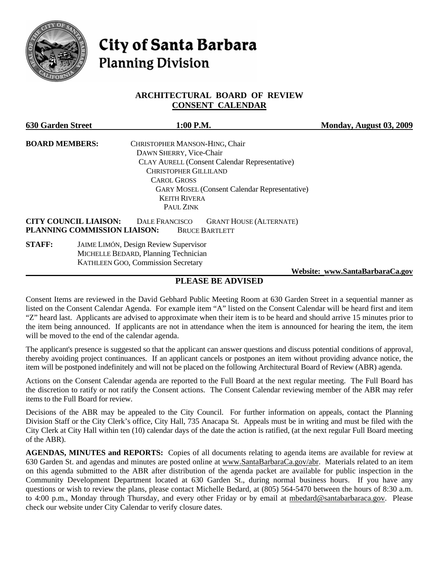

# **City of Santa Barbara Planning Division**

# **ARCHITECTURAL BOARD OF REVIEW CONSENT CALENDAR**

| <b>630 Garden Street</b> | 1:00 P.M.                                                                                                                                        | Monday, August 03, 2009         |
|--------------------------|--------------------------------------------------------------------------------------------------------------------------------------------------|---------------------------------|
| <b>BOARD MEMBERS:</b>    | CHRISTOPHER MANSON-HING, Chair                                                                                                                   |                                 |
|                          | DAWN SHERRY, Vice-Chair                                                                                                                          |                                 |
|                          | <b>CLAY AURELL (Consent Calendar Representative)</b>                                                                                             |                                 |
|                          | <b>CHRISTOPHER GILLILAND</b>                                                                                                                     |                                 |
|                          | <b>CAROL GROSS</b>                                                                                                                               |                                 |
|                          | <b>GARY MOSEL (Consent Calendar Representative)</b>                                                                                              |                                 |
|                          | <b>KEITH RIVERA</b>                                                                                                                              |                                 |
|                          | PAUL ZINK                                                                                                                                        |                                 |
|                          | <b>CITY COUNCIL LIAISON:</b><br><b>DALE FRANCISCO</b><br><b>GRANT HOUSE (ALTERNATE)</b><br>PLANNING COMMISSION LIAISON:<br><b>BRUCE BARTLETT</b> |                                 |
| <b>STAFF:</b>            | JAIME LIMÓN, Design Review Supervisor                                                                                                            |                                 |
|                          | MICHELLE BEDARD, Planning Technician                                                                                                             |                                 |
|                          | <b>KATHLEEN GOO, Commission Secretary</b>                                                                                                        |                                 |
|                          |                                                                                                                                                  | Website: www.SantaBarbaraCa.gov |

# **PLEASE BE ADVISED**

Consent Items are reviewed in the David Gebhard Public Meeting Room at 630 Garden Street in a sequential manner as listed on the Consent Calendar Agenda. For example item "A" listed on the Consent Calendar will be heard first and item "Z" heard last. Applicants are advised to approximate when their item is to be heard and should arrive 15 minutes prior to the item being announced. If applicants are not in attendance when the item is announced for hearing the item, the item will be moved to the end of the calendar agenda.

The applicant's presence is suggested so that the applicant can answer questions and discuss potential conditions of approval, thereby avoiding project continuances. If an applicant cancels or postpones an item without providing advance notice, the item will be postponed indefinitely and will not be placed on the following Architectural Board of Review (ABR) agenda.

Actions on the Consent Calendar agenda are reported to the Full Board at the next regular meeting. The Full Board has the discretion to ratify or not ratify the Consent actions. The Consent Calendar reviewing member of the ABR may refer items to the Full Board for review.

Decisions of the ABR may be appealed to the City Council. For further information on appeals, contact the Planning Division Staff or the City Clerk's office, City Hall, 735 Anacapa St. Appeals must be in writing and must be filed with the City Clerk at City Hall within ten (10) calendar days of the date the action is ratified, (at the next regular Full Board meeting of the ABR).

**AGENDAS, MINUTES and REPORTS:** Copies of all documents relating to agenda items are available for review at 630 Garden St. and agendas and minutes are posted online at [www.SantaBarbaraCa.gov/abr.](http://www.santabarbaraca.gov/abr) Materials related to an item on this agenda submitted to the ABR after distribution of the agenda packet are available for public inspection in the Community Development Department located at 630 Garden St., during normal business hours. If you have any questions or wish to review the plans, please contact Michelle Bedard, at (805) 564-5470 between the hours of 8:30 a.m. to 4:00 p.m., Monday through Thursday, and every other Friday or by email at [mbedard@santabarbaraca.gov.](mailto:mbedard@santabarbaraca.gov) Please check our website under City Calendar to verify closure dates.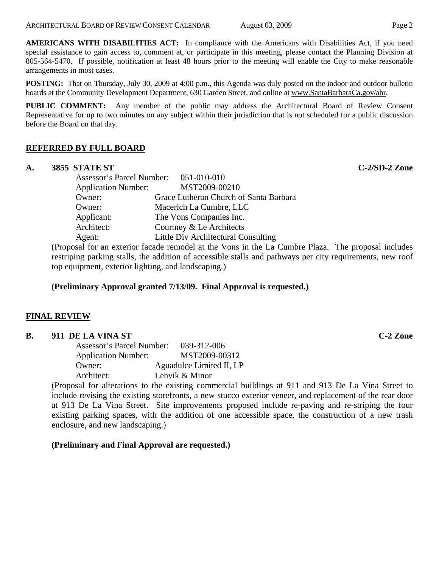**AMERICANS WITH DISABILITIES ACT:** In compliance with the Americans with Disabilities Act, if you need special assistance to gain access to, comment at, or participate in this meeting, please contact the Planning Division at 805-564-5470. If possible, notification at least 48 hours prior to the meeting will enable the City to make reasonable arrangements in most cases.

**POSTING:** That on Thursday, July 30, 2009 at 4:00 p.m., this Agenda was duly posted on the indoor and outdoor bulletin boards at the Community Development Department, 630 Garden Street, and online at [www.SantaBarbaraCa.gov/abr](http://www.santabarbaraca.gov/abr).

**PUBLIC COMMENT:** Any member of the public may address the Architectural Board of Review Consent Representative for up to two minutes on any subject within their jurisdiction that is not scheduled for a public discussion before the Board on that day.

# **REFERRED BY FULL BOARD**

#### **A. 3855 STATE ST C-2/SD-2 Zone**

Assessor's Parcel Number: 051-010-010 Application Number: MST2009-00210 Owner: Grace Lutheran Church of Santa Barbara Owner: Macerich La Cumbre, LLC Applicant: The Vons Companies Inc. Architect: Courtney & Le Architects Agent: Little Div Architectural Consulting

(Proposal for an exterior facade remodel at the Vons in the La Cumbre Plaza. The proposal includes restriping parking stalls, the addition of accessible stalls and pathways per city requirements, new roof top equipment, exterior lighting, and landscaping.)

**(Preliminary Approval granted 7/13/09. Final Approval is requested.)** 

# **FINAL REVIEW**

#### **B. 911 DE LA VINA ST C-2 Zone**

| Assessor's Parcel Number:  | 039-312-006              |
|----------------------------|--------------------------|
| <b>Application Number:</b> | MST2009-00312            |
| Owner:                     | Aguadulce Limited II, LP |
| Architect:                 | Lenvik & Minor           |

(Proposal for alterations to the existing commercial buildings at 911 and 913 De La Vina Street to include revising the existing storefronts, a new stucco exterior veneer, and replacement of the rear door at 913 De La Vina Street. Site improvements proposed include re-paving and re-striping the four existing parking spaces, with the addition of one accessible space, the construction of a new trash enclosure, and new landscaping.)

**(Preliminary and Final Approval are requested.)**